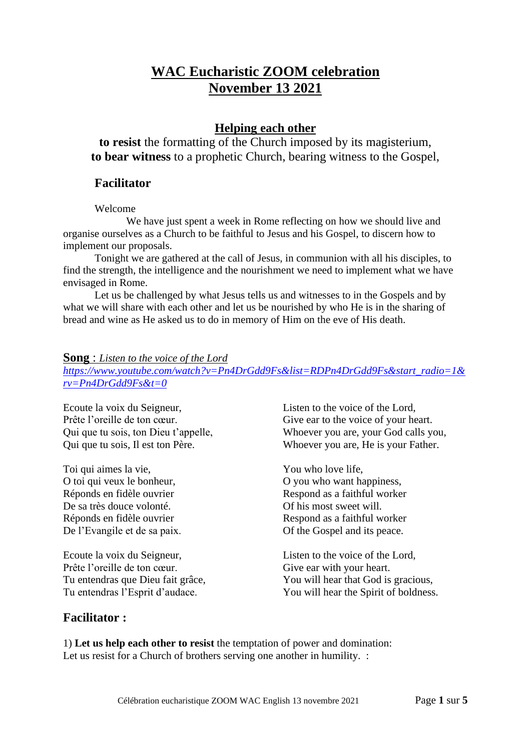# **WAC Eucharistic ZOOM celebration November 13 2021**

### **Helping each other**

**to resist** the formatting of the Church imposed by its magisterium, **to bear witness** to a prophetic Church, bearing witness to the Gospel,

### **Facilitator**

Welcome

We have just spent a week in Rome reflecting on how we should live and organise ourselves as a Church to be faithful to Jesus and his Gospel, to discern how to implement our proposals.

Tonight we are gathered at the call of Jesus, in communion with all his disciples, to find the strength, the intelligence and the nourishment we need to implement what we have envisaged in Rome.

Let us be challenged by what Jesus tells us and witnesses to in the Gospels and by what we will share with each other and let us be nourished by who He is in the sharing of bread and wine as He asked us to do in memory of Him on the eve of His death.

#### **Song** : *Listen to the voice of the Lord*

*[https://www.youtube.com/watch?v=Pn4DrGdd9Fs&list=RDPn4DrGdd9Fs&start\\_radio=1&](https://www.youtube.com/watch?v=Pn4DrGdd9Fs&list=RDPn4DrGdd9Fs&start_radio=1&rv=Pn4DrGdd9Fs&t=0) [rv=Pn4DrGdd9Fs&t=0](https://www.youtube.com/watch?v=Pn4DrGdd9Fs&list=RDPn4DrGdd9Fs&start_radio=1&rv=Pn4DrGdd9Fs&t=0)*

Ecoute la voix du Seigneur, Prête l'oreille de ton cœur. Qui que tu sois, ton Dieu t'appelle, Qui que tu sois, Il est ton Père.

Toi qui aimes la vie, O toi qui veux le bonheur, Réponds en fidèle ouvrier De sa très douce volonté. Réponds en fidèle ouvrier De l'Evangile et de sa paix.

Ecoute la voix du Seigneur, Prête l'oreille de ton cœur. Tu entendras que Dieu fait grâce, Tu entendras l'Esprit d'audace.

Listen to the voice of the Lord, Give ear to the voice of your heart. Whoever you are, your God calls you, Whoever you are, He is your Father.

You who love life, O you who want happiness, Respond as a faithful worker Of his most sweet will. Respond as a faithful worker Of the Gospel and its peace.

Listen to the voice of the Lord, Give ear with your heart. You will hear that God is gracious, You will hear the Spirit of boldness.

### **Facilitator :**

1) **Let us help each other to resist** the temptation of power and domination: Let us resist for a Church of brothers serving one another in humility. :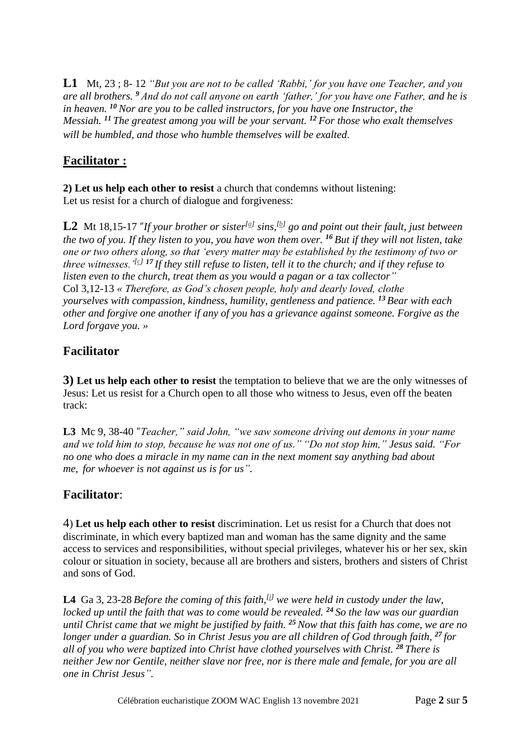**L1** Mt, 23 ; 8- 12 *"But you are not to be called 'Rabbi,' for you have one Teacher, and you are all brothers. <sup>9</sup> And do not call anyone on earth 'father,' for you have one Father, and he is in heaven. <sup>10</sup> Nor are you to be called instructors, for you have one Instructor, the Messiah. <sup>11</sup> The greatest among you will be your servant. <sup>12</sup> For those who exalt themselves will be humbled, and those who humble themselves will be exalted*.

## **Facilitator :**

**2) Let us help each other to resist** a church that condemns without listening: Let us resist for a church of dialogue and forgiveness:

**L2** Mt 18,15-17 "*If your brother or sister[\[a\]](https://www.biblegateway.com/passage/?search=Matthew+18%3A15-17&version=NIV#fen-NIV-23743a) sins,[\[b\]](https://www.biblegateway.com/passage/?search=Matthew+18%3A15-17&version=NIV#fen-NIV-23743b) go and point out their fault, just between the two of you. If they listen to you, you have won them over. <sup>16</sup> But if they will not listen, take one or two others along, so that 'every matter may be established by the testimony of two or three witnesses.'[\[c\]](https://www.biblegateway.com/passage/?search=Matthew+18%3A15-17&version=NIV#fen-NIV-23744c) <sup>17</sup> If they still refuse to listen, tell it to the church; and if they refuse to listen even to the church, treat them as you would a pagan or a tax collector"* Col 3,12-13 *« Therefore, as God's chosen people, holy and dearly loved, clothe yourselves with compassion, kindness, humility, gentleness and patience. <sup>13</sup> Bear with each other and forgive one another if any of you has a grievance against someone. Forgive as the Lord forgave you. »*

# **Facilitator**

**3) Let us help each other to resist** the temptation to believe that we are the only witnesses of Jesus: Let us resist for a Church open to all those who witness to Jesus, even off the beaten track:

**L3** Mc 9, 38-40 "*Teacher," said John, "we saw someone driving out demons in your name and we told him to stop, because he was not one of us." "Do not stop him," Jesus said. "For no one who does a miracle in my name can in the next moment say anything bad about me, for whoever is not against us is for us".*

### **Facilitator**:

4) **Let us help each other to resist** discrimination. Let us resist for a Church that does not discriminate, in which every baptized man and woman has the same dignity and the same access to services and responsibilities, without special privileges, whatever his or her sex, skin colour or situation in society, because all are brothers and sisters, brothers and sisters of Christ and sons of God.

**L4** Ga 3, 23-28 *Before the coming of this faith,[\[j\]](https://www.biblegateway.com/passage/?search=Galatians+3&version=NIV#fen-NIV-29126j) we were held in custody under the law, locked up until the faith that was to come would be revealed. <sup>24</sup> So the law was our guardian until Christ came that we might be justified by faith. <sup>25</sup>Now that this faith has come, we are no longer under a guardian. So in Christ Jesus you are all children of God through faith, <sup>27</sup> for all of you who were baptized into Christ have clothed yourselves with Christ. <sup>28</sup> There is neither Jew nor Gentile, neither slave nor free, nor is there male and female, for you are all one in Christ Jesus".*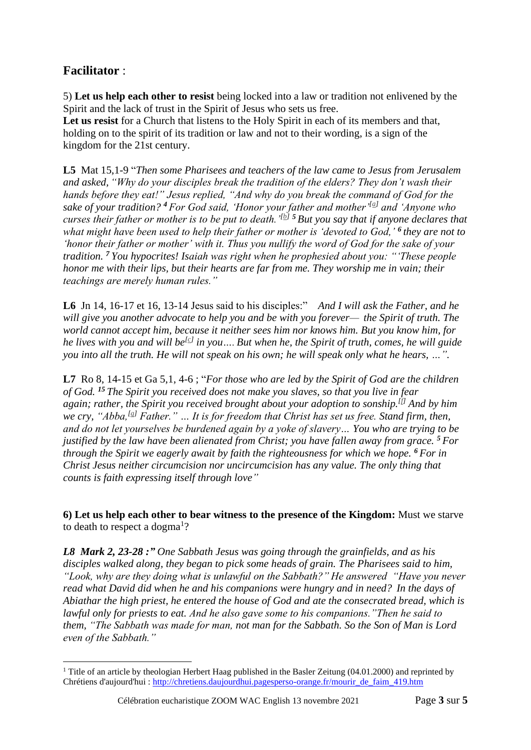### **Facilitator** :

5) **Let us help each other to resist** being locked into a law or tradition not enlivened by the Spirit and the lack of trust in the Spirit of Jesus who sets us free.

**Let us resist** for a Church that listens to the Holy Spirit in each of its members and that, holding on to the spirit of its tradition or law and not to their wording, is a sign of the kingdom for the 21st century.

**L5** Mat 15,1-9 "*Then some Pharisees and teachers of the law came to Jesus from Jerusalem and asked, "Why do your disciples break the tradition of the elders? They don't wash their hands before they eat!" Jesus replied, "And why do you break the command of God for the sake of your tradition? <sup>4</sup> For God said, 'Honor your father and mother'[\[a\]](https://www.biblegateway.com/passage/?search=Matthew%2015&version=NIV#fen-NIV-23638a) and 'Anyone who curses their father or mother is to be put to death.'[\[b\]](https://www.biblegateway.com/passage/?search=Matthew%2015&version=NIV#fen-NIV-23638b) <sup>5</sup> But you say that if anyone declares that what might have been used to help their father or mother is 'devoted to God,' <sup>6</sup> they are not to 'honor their father or mother' with it. Thus you nullify the word of God for the sake of your tradition. <sup>7</sup> You hypocrites! Isaiah was right when he prophesied about you: "'These people honor me with their lips, but their hearts are far from me. They worship me in vain; their teachings are merely human rules."*

**L6** Jn 14, 16-17 et 16, 13-14 Jesus said to his disciples:" *And I will ask the Father, and he will give you another advocate to help you and be with you forever— the Spirit of truth. The world cannot accept him, because it neither sees him nor knows him. But you know him, for he lives with you and will be[\[c\]](https://www.biblegateway.com/passage/?search=Jn+14+&version=NIV#fen-NIV-26686c) in you…. But when he, the Spirit of truth, comes, he will guide you into all the truth. He will not speak on his own; he will speak only what he hears, …".*

**L7** Ro 8, 14-15 et Ga 5,1, 4-6 ; "*For those who are led by the Spirit of God are the children of God. <sup>15</sup> The Spirit you received does not make you slaves, so that you live in fear again; rather, the Spirit you received brought about your adoption to sonship.[\[f\]](https://www.biblegateway.com/passage/?search=Romans+8&version=NIV#fen-NIV-28132f) And by him we cry, "Abba,[\[g\]](https://www.biblegateway.com/passage/?search=Romans+8&version=NIV#fen-NIV-28132g) Father." … It is for freedom that Christ has set us free. Stand firm, then, and do not let yourselves be burdened again by a yoke of slavery… You who are trying to be justified by the law have been alienated from Christ; you have fallen away from grace. <sup>5</sup> For through the Spirit we eagerly await by faith the righteousness for which we hope. <sup>6</sup> For in Christ Jesus neither circumcision nor uncircumcision has any value. The only thing that counts is faith expressing itself through love"*

**6) Let us help each other to bear witness to the presence of the Kingdom:** Must we starve to death to respect a dogma<sup>1</sup>?

*L8 Mark 2, 23-28 :" One Sabbath Jesus was going through the grainfields, and as his disciples walked along, they began to pick some heads of grain. The Pharisees said to him, "Look, why are they doing what is unlawful on the Sabbath?" He answered "Have you never read what David did when he and his companions were hungry and in need? In the days of Abiathar the high priest, he entered the house of God and ate the consecrated bread, which is lawful only for priests to eat. And he also gave some to his companions."Then he said to them, "The Sabbath was made for man, not man for the Sabbath. So the Son of Man is Lord even of the Sabbath."*

<sup>&</sup>lt;sup>1</sup> Title of an article by theologian Herbert Haag published in the Basler Zeitung (04.01.2000) and reprinted by Chrétiens d'aujourd'hui : [http://chretiens.daujourdhui.pagesperso-orange.fr/mourir\\_de\\_faim\\_419.htm](http://chretiens.daujourdhui.pagesperso-orange.fr/mourir_de_faim_419.htm)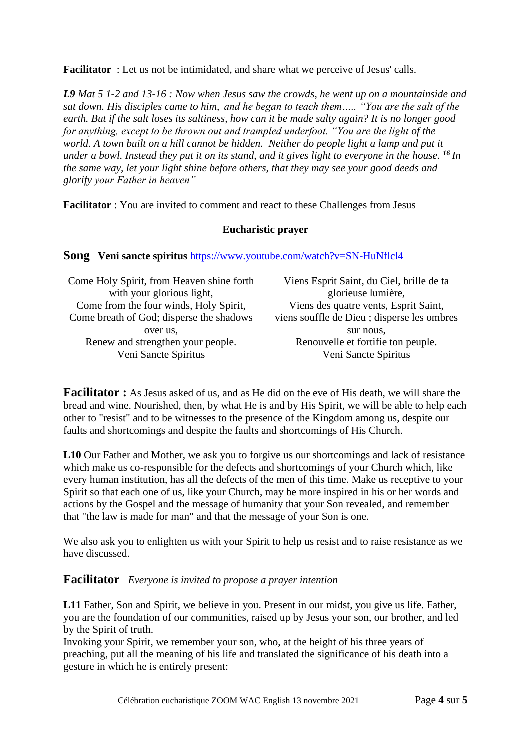**Facilitator** : Let us not be intimidated, and share what we perceive of Jesus' calls.

*L9 Mat 5 1-2 and 13-16 : Now when Jesus saw the crowds, he went up on a mountainside and sat down. His disciples came to him, and he began to teach them….. "You are the salt of the earth. But if the salt loses its saltiness, how can it be made salty again? It is no longer good for anything, except to be thrown out and trampled underfoot. "You are the light of the world. A town built on a hill cannot be hidden. Neither do people light a lamp and put it under a bowl. Instead they put it on its stand, and it gives light to everyone in the house. <sup>16</sup> In the same way, let your light shine before others, that they may see your good deeds and glorify your Father in heaven"*

**Facilitator** : You are invited to comment and react to these Challenges from Jesus

### **Eucharistic prayer**

#### **Song** Veni sancte spiritus <https://www.youtube.com/watch?v=SN-HuNflcl4>

| Come Holy Spirit, from Heaven shine forth | Viens Esprit Saint, du Ciel, brille de ta   |
|-------------------------------------------|---------------------------------------------|
| with your glorious light,                 | glorieuse lumière,                          |
| Come from the four winds, Holy Spirit,    | Viens des quatre vents, Esprit Saint,       |
| Come breath of God; disperse the shadows  | viens souffle de Dieu ; disperse les ombres |
| over us.                                  | sur nous.                                   |
| Renew and strengthen your people.         | Renouvelle et fortifie ton peuple.          |
| Veni Sancte Spiritus                      | Veni Sancte Spiritus                        |

**Facilitator :** As Jesus asked of us, and as He did on the eve of His death, we will share the bread and wine. Nourished, then, by what He is and by His Spirit, we will be able to help each other to "resist" and to be witnesses to the presence of the Kingdom among us, despite our faults and shortcomings and despite the faults and shortcomings of His Church.

**L10** Our Father and Mother, we ask you to forgive us our shortcomings and lack of resistance which make us co-responsible for the defects and shortcomings of your Church which, like every human institution, has all the defects of the men of this time. Make us receptive to your Spirit so that each one of us, like your Church, may be more inspired in his or her words and actions by the Gospel and the message of humanity that your Son revealed, and remember that "the law is made for man" and that the message of your Son is one.

We also ask you to enlighten us with your Spirit to help us resist and to raise resistance as we have discussed.

### **Facilitator** *Everyone is invited to propose a prayer intention*

**L11** Father, Son and Spirit, we believe in you. Present in our midst, you give us life. Father, you are the foundation of our communities, raised up by Jesus your son, our brother, and led by the Spirit of truth.

Invoking your Spirit, we remember your son, who, at the height of his three years of preaching, put all the meaning of his life and translated the significance of his death into a gesture in which he is entirely present: